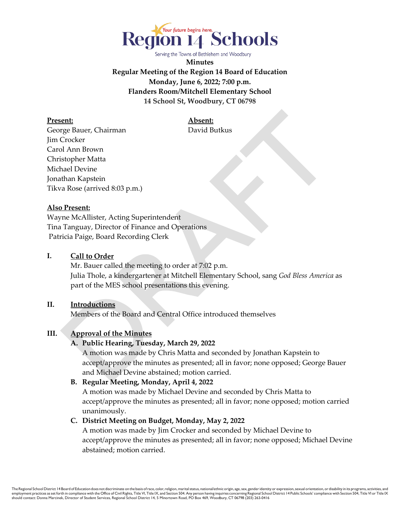

Serving the Towns of Bethlehem and Woodbury

**Minutes Regular Meeting of the Region 14 Board of Education Monday, June 6, 2022; 7:00 p.m. Flanders Room/Mitchell Elementary School 14 School St, Woodbury, CT 06798**

**Present: Absent:**

George Bauer, Chairman David Butkus Jim Crocker Carol Ann Brown Christopher Matta Michael Devine Jonathan Kapstein Tikva Rose (arrived 8:03 p.m.)

# **Also Present:**

Wayne McAllister, Acting Superintendent Tina Tanguay, Director of Finance and Operations Patricia Paige, Board Recording Clerk

#### **I. Call to Order**

 Mr. Bauer called the meeting to order at 7:02 p.m. Julia Thole, a kindergartener at Mitchell Elementary School, sang *God Bless America* as part of the MES school presentations this evening.

# **II. Introductions**

Members of the Board and Central Office introduced themselves

# **III. Approval of the Minutes**

#### **A. Public Hearing, Tuesday, March 29, 2022**

A motion was made by Chris Matta and seconded by Jonathan Kapstein to accept/approve the minutes as presented; all in favor; none opposed; George Bauer and Michael Devine abstained; motion carried.

#### **B. Regular Meeting, Monday, April 4, 2022**

A motion was made by Michael Devine and seconded by Chris Matta to accept/approve the minutes as presented; all in favor; none opposed; motion carried unanimously.

#### **C. District Meeting on Budget, Monday, May 2, 2022**

A motion was made by Jim Crocker and seconded by Michael Devine to accept/approve the minutes as presented; all in favor; none opposed; Michael Devine abstained; motion carried.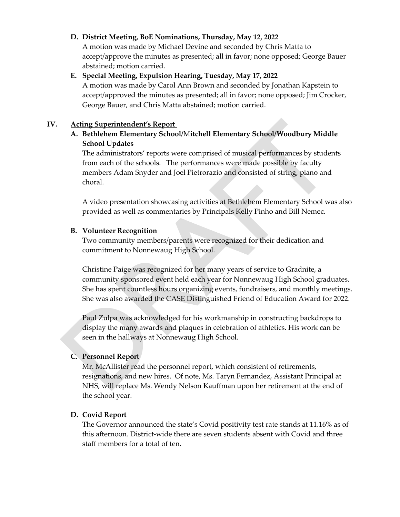#### **D. District Meeting, BoE Nominations, Thursday, May 12, 2022**

A motion was made by Michael Devine and seconded by Chris Matta to accept/approve the minutes as presented; all in favor; none opposed; George Bauer abstained; motion carried.

# **E. Special Meeting, Expulsion Hearing, Tuesday, May 17, 2022**

A motion was made by Carol Ann Brown and seconded by Jonathan Kapstein to accept/approved the minutes as presented; all in favor; none opposed; Jim Crocker, George Bauer, and Chris Matta abstained; motion carried.

## **IV. Acting Superintendent's Report**

**A. Bethlehem Elementary School/**M**itchell Elementary School/Woodbury Middle School Updates** 

The administrators' reports were comprised of musical performances by students from each of the schools. The performances were made possible by faculty members Adam Snyder and Joel Pietrorazio and consisted of string, piano and choral.

A video presentation showcasing activities at Bethlehem Elementary School was also provided as well as commentaries by Principals Kelly Pinho and Bill Nemec.

#### **B. Volunteer Recognition**

Two community members/parents were recognized for their dedication and commitment to Nonnewaug High School.

Christine Paige was recognized for her many years of service to Gradnite, a community sponsored event held each year for Nonnewaug High School graduates. She has spent countless hours organizing events, fundraisers, and monthly meetings. She was also awarded the CASE Distinguished Friend of Education Award for 2022.

Paul Zulpa was acknowledged for his workmanship in constructing backdrops to display the many awards and plaques in celebration of athletics. His work can be seen in the hallways at Nonnewaug High School.

# **C. Personnel Report**

Mr. McAllister read the personnel report, which consistent of retirements, resignations, and new hires. Of note, Ms. Taryn Fernandez, Assistant Principal at NHS, will replace Ms. Wendy Nelson Kauffman upon her retirement at the end of the school year.

# **D. Covid Report**

The Governor announced the state's Covid positivity test rate stands at 11.16% as of this afternoon. District-wide there are seven students absent with Covid and three staff members for a total of ten.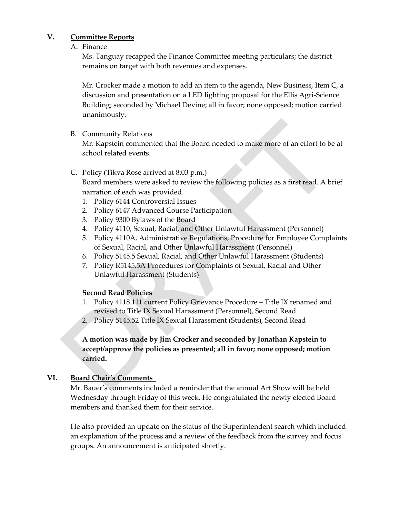## **V. Committee Reports**

#### A. Finance

Ms. Tanguay recapped the Finance Committee meeting particulars; the district remains on target with both revenues and expenses.

Mr. Crocker made a motion to add an item to the agenda, New Business, Item C, a discussion and presentation on a LED lighting proposal for the Ellis Agri-Science Building; seconded by Michael Devine; all in favor; none opposed; motion carried unanimously.

#### B. Community Relations

Mr. Kapstein commented that the Board needed to make more of an effort to be at school related events.

#### C. Policy (Tikva Rose arrived at 8:03 p.m.)

Board members were asked to review the following policies as a first read. A brief narration of each was provided.

- 1. Policy 6144 Controversial Issues
- 2. Policy 6147 Advanced Course Participation
- 3. Policy 9300 Bylaws of the Board
- 4. Policy 4110, Sexual, Racial, and Other Unlawful Harassment (Personnel)
- 5. Policy 4110A, Administrative Regulations, Procedure for Employee Complaints of Sexual, Racial, and Other Unlawful Harassment (Personnel)
- 6. Policy 5145.5 Sexual, Racial, and Other Unlawful Harassment (Students)
- 7. Policy R5145.5A Procedures for Complaints of Sexual, Racial and Other Unlawful Harassment (Students)

# **Second Read Policies**

- 1. Policy 4118.111 current Policy Grievance Procedure Title IX renamed and revised to Title IX Sexual Harassment (Personnel), Second Read
- 2. Policy 5145.52 Title IX Sexual Harassment (Students), Second Read

# **A motion was made by Jim Crocker and seconded by Jonathan Kapstein to accept/approve the policies as presented; all in favor; none opposed; motion carried.**

#### **VI. Board Chair's Comments**

Mr. Bauer's comments included a reminder that the annual Art Show will be held Wednesday through Friday of this week. He congratulated the newly elected Board members and thanked them for their service.

He also provided an update on the status of the Superintendent search which included an explanation of the process and a review of the feedback from the survey and focus groups. An announcement is anticipated shortly.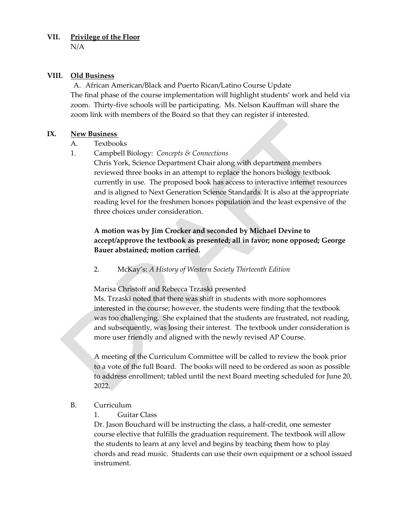#### **VII. Privilege of the Floor**

N/A

#### **VIII. Old Business**

A. African American/Black and Puerto Rican/Latino Course Update The final phase of the course implementation will highlight students' work and held via zoom. Thirty-five schools will be participating. Ms. Nelson Kauffman will share the zoom link with members of the Board so that they can register if interested.

#### **IX. New Business**

A. Textbooks

1. Campbell Biology: *Concepts & Connections*

Chris York, Science Department Chair along with department members reviewed three books in an attempt to replace the honors biology textbook currently in use. The proposed book has access to interactive internet resources and is aligned to Next Generation Science Standards. It is also at the appropriate reading level for the freshmen honors population and the least expensive of the three choices under consideration.

# **A motion was by Jim Crocker and seconded by Michael Devine to accept/approve the textbook as presented; all in favor; none opposed; George Bauer abstained; motion carried.**

2. McKay's: *A History of Western Society Thirteenth Edition*

Marisa Christoff and Rebecca Trzaski presented

Ms. Trzaski noted that there was shift in students with more sophomores interested in the course; however, the students were finding that the textbook was too challenging. She explained that the students are frustrated, not reading, and subsequently, was losing their interest. The textbook under consideration is more user friendly and aligned with the newly revised AP Course.

A meeting of the Curriculum Committee will be called to review the book prior to a vote of the full Board. The books will need to be ordered as soon as possible to address enrollment; tabled until the next Board meeting scheduled for June 20, 2022.

# B. Curriculum

1. Guitar Class

Dr. Jason Bouchard will be instructing the class, a half-credit, one semester course elective that fulfills the graduation requirement. The textbook will allow the students to learn at any level and begins by teaching them how to play chords and read music. Students can use their own equipment or a school issued instrument.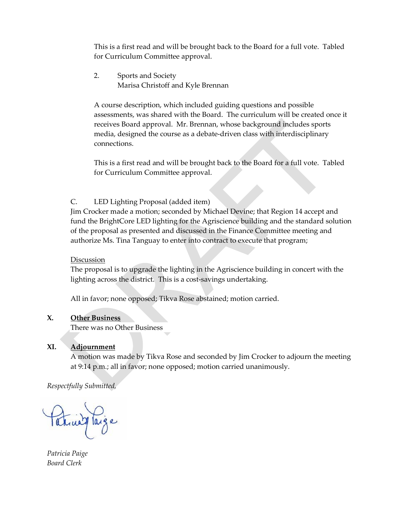This is a first read and will be brought back to the Board for a full vote. Tabled for Curriculum Committee approval.

 2. Sports and Society Marisa Christoff and Kyle Brennan

A course description, which included guiding questions and possible assessments, was shared with the Board. The curriculum will be created once it receives Board approval. Mr. Brennan, whose background includes sports media, designed the course as a debate-driven class with interdisciplinary connections.

This is a first read and will be brought back to the Board for a full vote. Tabled for Curriculum Committee approval.

# C. LED Lighting Proposal (added item)

Jim Crocker made a motion; seconded by Michael Devine; that Region 14 accept and fund the BrightCore LED lighting for the Agriscience building and the standard solution of the proposal as presented and discussed in the Finance Committee meeting and authorize Ms. Tina Tanguay to enter into contract to execute that program;

# Discussion

The proposal is to upgrade the lighting in the Agriscience building in concert with the lighting across the district. This is a cost-savings undertaking.

All in favor; none opposed; Tikva Rose abstained; motion carried.

# **X. Other Business**

There was no Other Business

# **XI. Adjournment**

A motion was made by Tikva Rose and seconded by Jim Crocker to adjourn the meeting at 9:14 p.m.; all in favor; none opposed; motion carried unanimously.

*Respectfully Submitted,* 

Patricia Paige

*Patricia Paige Board Clerk*